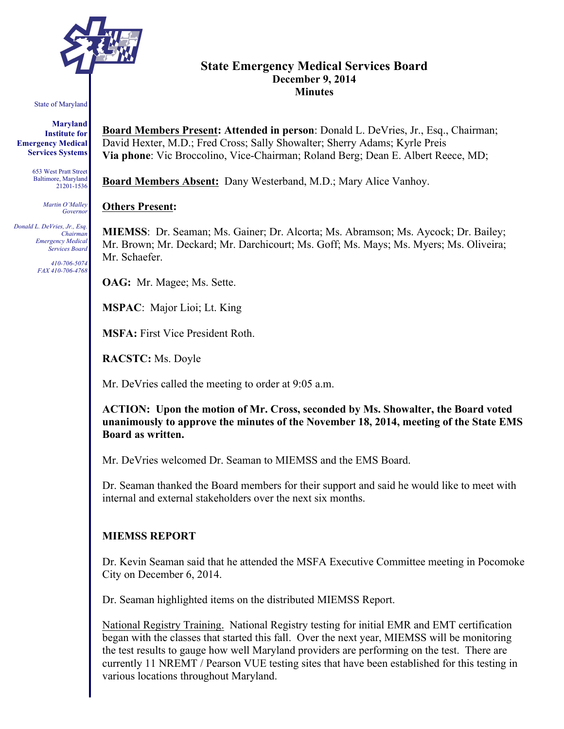

# **State Emergency Medical Services Board December 9, 2014 Minutes**

#### State of Maryland

**Maryland Institute for Emergency Medical Services Systems**

> 653 West Pratt Street Baltimore, Maryland 21201-1536

> > *Martin O'Malley Governor*

*Donald L. DeVries, Jr., Esq. Chairman Emergency Medical Services Board*

> *410-706-5074 FAX 410-706-4768*

**Board Members Present: Attended in person**: Donald L. DeVries, Jr., Esq., Chairman; David Hexter, M.D.; Fred Cross; Sally Showalter; Sherry Adams; Kyrle Preis **Via phone**: Vic Broccolino, Vice-Chairman; Roland Berg; Dean E. Albert Reece, MD;

**Board Members Absent:** Dany Westerband, M.D.; Mary Alice Vanhoy.

#### **Others Present:**

**MIEMSS**: Dr. Seaman; Ms. Gainer; Dr. Alcorta; Ms. Abramson; Ms. Aycock; Dr. Bailey; Mr. Brown; Mr. Deckard; Mr. Darchicourt; Ms. Goff; Ms. Mays; Ms. Myers; Ms. Oliveira; Mr. Schaefer.

**OAG:** Mr. Magee; Ms. Sette.

**MSPAC**: Major Lioi; Lt. King

**MSFA:** First Vice President Roth.

**RACSTC:** Ms. Doyle

Mr. DeVries called the meeting to order at 9:05 a.m.

**ACTION: Upon the motion of Mr. Cross, seconded by Ms. Showalter, the Board voted unanimously to approve the minutes of the November 18, 2014, meeting of the State EMS Board as written.**

Mr. DeVries welcomed Dr. Seaman to MIEMSS and the EMS Board.

Dr. Seaman thanked the Board members for their support and said he would like to meet with internal and external stakeholders over the next six months.

## **MIEMSS REPORT**

Dr. Kevin Seaman said that he attended the MSFA Executive Committee meeting in Pocomoke City on December 6, 2014.

Dr. Seaman highlighted items on the distributed MIEMSS Report.

National Registry Training. National Registry testing for initial EMR and EMT certification began with the classes that started this fall. Over the next year, MIEMSS will be monitoring the test results to gauge how well Maryland providers are performing on the test. There are currently 11 NREMT / Pearson VUE testing sites that have been established for this testing in various locations throughout Maryland.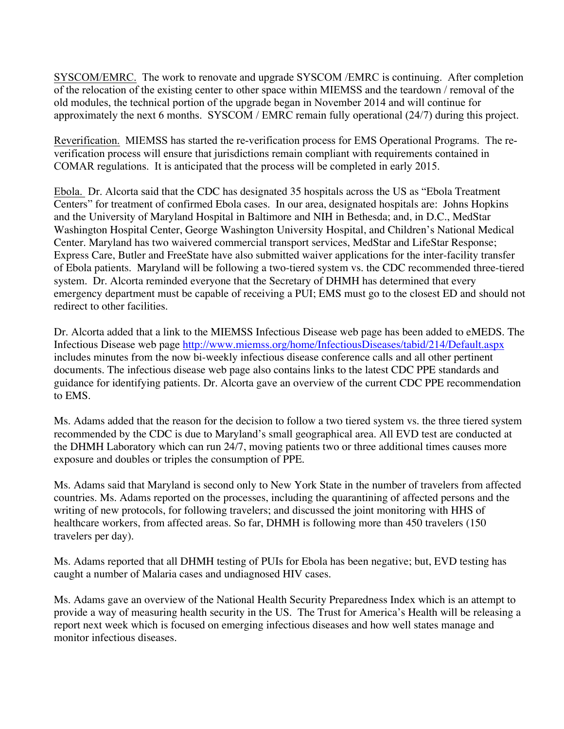SYSCOM/EMRC. The work to renovate and upgrade SYSCOM /EMRC is continuing. After completion of the relocation of the existing center to other space within MIEMSS and the teardown / removal of the old modules, the technical portion of the upgrade began in November 2014 and will continue for approximately the next 6 months. SYSCOM / EMRC remain fully operational (24/7) during this project.

Reverification. MIEMSS has started the re-verification process for EMS Operational Programs. The reverification process will ensure that jurisdictions remain compliant with requirements contained in COMAR regulations. It is anticipated that the process will be completed in early 2015.

Ebola. Dr. Alcorta said that the CDC has designated 35 hospitals across the US as "Ebola Treatment Centers" for treatment of confirmed Ebola cases. In our area, designated hospitals are: Johns Hopkins and the University of Maryland Hospital in Baltimore and NIH in Bethesda; and, in D.C., MedStar Washington Hospital Center, George Washington University Hospital, and Children's National Medical Center. Maryland has two waivered commercial transport services, MedStar and LifeStar Response; Express Care, Butler and FreeState have also submitted waiver applications for the inter-facility transfer of Ebola patients. Maryland will be following a two-tiered system vs. the CDC recommended three-tiered system. Dr. Alcorta reminded everyone that the Secretary of DHMH has determined that every emergency department must be capable of receiving a PUI; EMS must go to the closest ED and should not redirect to other facilities.

Dr. Alcorta added that a link to the MIEMSS Infectious Disease web page has been added to eMEDS. The Infectious Disease web page http://www.miemss.org/home/InfectiousDiseases/tabid/214/Default.aspx includes minutes from the now bi-weekly infectious disease conference calls and all other pertinent documents. The infectious disease web page also contains links to the latest CDC PPE standards and guidance for identifying patients. Dr. Alcorta gave an overview of the current CDC PPE recommendation to EMS.

Ms. Adams added that the reason for the decision to follow a two tiered system vs. the three tiered system recommended by the CDC is due to Maryland's small geographical area. All EVD test are conducted at the DHMH Laboratory which can run 24/7, moving patients two or three additional times causes more exposure and doubles or triples the consumption of PPE.

Ms. Adams said that Maryland is second only to New York State in the number of travelers from affected countries. Ms. Adams reported on the processes, including the quarantining of affected persons and the writing of new protocols, for following travelers; and discussed the joint monitoring with HHS of healthcare workers, from affected areas. So far, DHMH is following more than 450 travelers (150) travelers per day).

Ms. Adams reported that all DHMH testing of PUIs for Ebola has been negative; but, EVD testing has caught a number of Malaria cases and undiagnosed HIV cases.

Ms. Adams gave an overview of the National Health Security Preparedness Index which is an attempt to provide a way of measuring health security in the US. The Trust for America's Health will be releasing a report next week which is focused on emerging infectious diseases and how well states manage and monitor infectious diseases.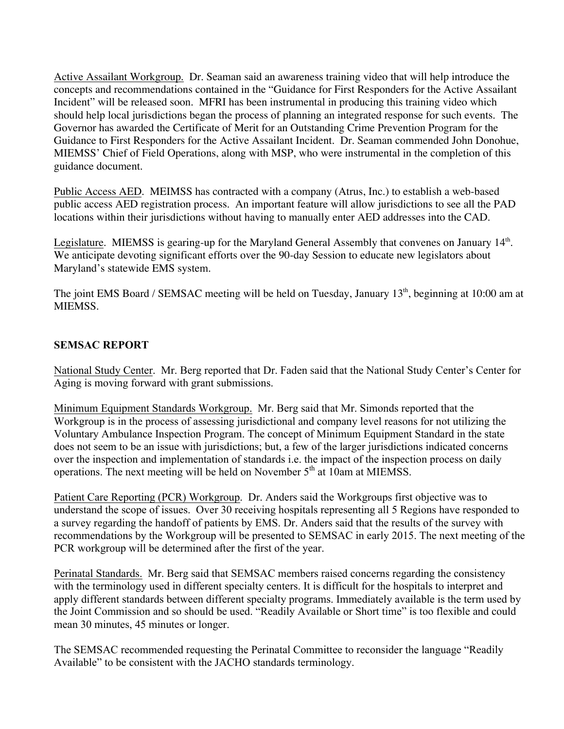Active Assailant Workgroup. Dr. Seaman said an awareness training video that will help introduce the concepts and recommendations contained in the "Guidance for First Responders for the Active Assailant Incident" will be released soon. MFRI has been instrumental in producing this training video which should help local jurisdictions began the process of planning an integrated response for such events. The Governor has awarded the Certificate of Merit for an Outstanding Crime Prevention Program for the Guidance to First Responders for the Active Assailant Incident. Dr. Seaman commended John Donohue, MIEMSS' Chief of Field Operations, along with MSP, who were instrumental in the completion of this guidance document.

Public Access AED. MEIMSS has contracted with a company (Atrus, Inc.) to establish a web-based public access AED registration process. An important feature will allow jurisdictions to see all the PAD locations within their jurisdictions without having to manually enter AED addresses into the CAD.

Legislature. MIEMSS is gearing-up for the Maryland General Assembly that convenes on January 14<sup>th</sup>. We anticipate devoting significant efforts over the 90-day Session to educate new legislators about Maryland's statewide EMS system.

The joint EMS Board / SEMSAC meeting will be held on Tuesday, January 13<sup>th</sup>, beginning at 10:00 am at MIEMSS.

## **SEMSAC REPORT**

National Study Center. Mr. Berg reported that Dr. Faden said that the National Study Center's Center for Aging is moving forward with grant submissions.

Minimum Equipment Standards Workgroup. Mr. Berg said that Mr. Simonds reported that the Workgroup is in the process of assessing jurisdictional and company level reasons for not utilizing the Voluntary Ambulance Inspection Program. The concept of Minimum Equipment Standard in the state does not seem to be an issue with jurisdictions; but, a few of the larger jurisdictions indicated concerns over the inspection and implementation of standards i.e. the impact of the inspection process on daily operations. The next meeting will be held on November  $5<sup>th</sup>$  at 10am at MIEMSS.

Patient Care Reporting (PCR) Workgroup. Dr. Anders said the Workgroups first objective was to understand the scope of issues. Over 30 receiving hospitals representing all 5 Regions have responded to a survey regarding the handoff of patients by EMS. Dr. Anders said that the results of the survey with recommendations by the Workgroup will be presented to SEMSAC in early 2015. The next meeting of the PCR workgroup will be determined after the first of the year.

Perinatal Standards. Mr. Berg said that SEMSAC members raised concerns regarding the consistency with the terminology used in different specialty centers. It is difficult for the hospitals to interpret and apply different standards between different specialty programs. Immediately available is the term used by the Joint Commission and so should be used. "Readily Available or Short time" is too flexible and could mean 30 minutes, 45 minutes or longer.

The SEMSAC recommended requesting the Perinatal Committee to reconsider the language "Readily Available" to be consistent with the JACHO standards terminology.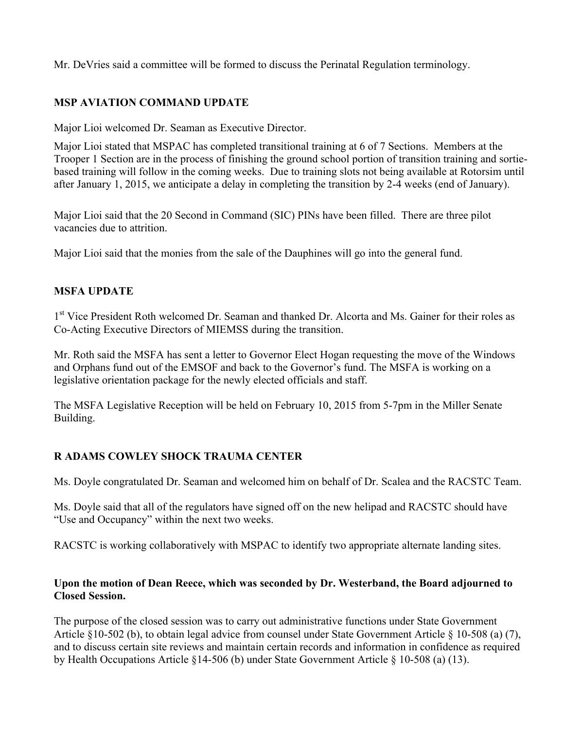Mr. DeVries said a committee will be formed to discuss the Perinatal Regulation terminology.

# **MSP AVIATION COMMAND UPDATE**

Major Lioi welcomed Dr. Seaman as Executive Director.

Major Lioi stated that MSPAC has completed transitional training at 6 of 7 Sections. Members at the Trooper 1 Section are in the process of finishing the ground school portion of transition training and sortiebased training will follow in the coming weeks. Due to training slots not being available at Rotorsim until after January 1, 2015, we anticipate a delay in completing the transition by 2-4 weeks (end of January).

Major Lioi said that the 20 Second in Command (SIC) PINs have been filled. There are three pilot vacancies due to attrition.

Major Lioi said that the monies from the sale of the Dauphines will go into the general fund.

## **MSFA UPDATE**

1<sup>st</sup> Vice President Roth welcomed Dr. Seaman and thanked Dr. Alcorta and Ms. Gainer for their roles as Co-Acting Executive Directors of MIEMSS during the transition.

Mr. Roth said the MSFA has sent a letter to Governor Elect Hogan requesting the move of the Windows and Orphans fund out of the EMSOF and back to the Governor's fund. The MSFA is working on a legislative orientation package for the newly elected officials and staff.

The MSFA Legislative Reception will be held on February 10, 2015 from 5-7pm in the Miller Senate Building.

# **R ADAMS COWLEY SHOCK TRAUMA CENTER**

Ms. Doyle congratulated Dr. Seaman and welcomed him on behalf of Dr. Scalea and the RACSTC Team.

Ms. Doyle said that all of the regulators have signed off on the new helipad and RACSTC should have "Use and Occupancy" within the next two weeks.

RACSTC is working collaboratively with MSPAC to identify two appropriate alternate landing sites.

## **Upon the motion of Dean Reece, which was seconded by Dr. Westerband, the Board adjourned to Closed Session.**

The purpose of the closed session was to carry out administrative functions under State Government Article §10-502 (b), to obtain legal advice from counsel under State Government Article § 10-508 (a) (7), and to discuss certain site reviews and maintain certain records and information in confidence as required by Health Occupations Article §14-506 (b) under State Government Article § 10-508 (a) (13).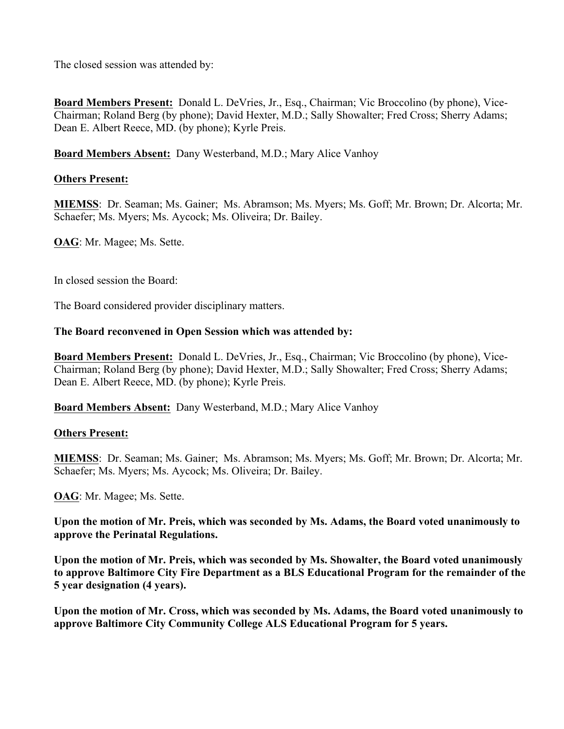The closed session was attended by:

**Board Members Present:** Donald L. DeVries, Jr., Esq., Chairman; Vic Broccolino (by phone), Vice-Chairman; Roland Berg (by phone); David Hexter, M.D.; Sally Showalter; Fred Cross; Sherry Adams; Dean E. Albert Reece, MD. (by phone); Kyrle Preis.

**Board Members Absent:** Dany Westerband, M.D.; Mary Alice Vanhoy

## **Others Present:**

**MIEMSS**: Dr. Seaman; Ms. Gainer; Ms. Abramson; Ms. Myers; Ms. Goff; Mr. Brown; Dr. Alcorta; Mr. Schaefer; Ms. Myers; Ms. Aycock; Ms. Oliveira; Dr. Bailey.

**OAG**: Mr. Magee; Ms. Sette.

In closed session the Board:

The Board considered provider disciplinary matters.

## **The Board reconvened in Open Session which was attended by:**

**Board Members Present:** Donald L. DeVries, Jr., Esq., Chairman; Vic Broccolino (by phone), Vice-Chairman; Roland Berg (by phone); David Hexter, M.D.; Sally Showalter; Fred Cross; Sherry Adams; Dean E. Albert Reece, MD. (by phone); Kyrle Preis.

**Board Members Absent:** Dany Westerband, M.D.; Mary Alice Vanhoy

#### **Others Present:**

**MIEMSS**: Dr. Seaman; Ms. Gainer; Ms. Abramson; Ms. Myers; Ms. Goff; Mr. Brown; Dr. Alcorta; Mr. Schaefer; Ms. Myers; Ms. Aycock; Ms. Oliveira; Dr. Bailey.

**OAG**: Mr. Magee; Ms. Sette.

**Upon the motion of Mr. Preis, which was seconded by Ms. Adams, the Board voted unanimously to approve the Perinatal Regulations.**

**Upon the motion of Mr. Preis, which was seconded by Ms. Showalter, the Board voted unanimously to approve Baltimore City Fire Department as a BLS Educational Program for the remainder of the 5 year designation (4 years).** 

**Upon the motion of Mr. Cross, which was seconded by Ms. Adams, the Board voted unanimously to approve Baltimore City Community College ALS Educational Program for 5 years.**